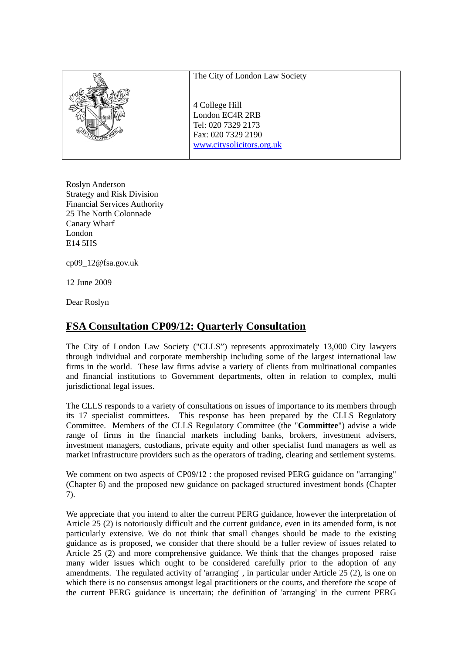| The City of London Law Society                                                                             |  |
|------------------------------------------------------------------------------------------------------------|--|
| 4 College Hill<br>London EC4R 2RB<br>Tel: 020 7329 2173<br>Fax: 020 7329 2190<br>www.citysolicitors.org.uk |  |

Roslyn Anderson Strategy and Risk Division Financial Services Authority 25 The North Colonnade Canary Wharf London E14 5HS

cp09\_12@fsa.gov.uk

12 June 2009

Dear Roslyn

# **FSA Consultation CP09/12: Quarterly Consultation**

The City of London Law Society ("CLLS") represents approximately 13,000 City lawyers through individual and corporate membership including some of the largest international law firms in the world. These law firms advise a variety of clients from multinational companies and financial institutions to Government departments, often in relation to complex, multi jurisdictional legal issues.

The CLLS responds to a variety of consultations on issues of importance to its members through its 17 specialist committees. This response has been prepared by the CLLS Regulatory Committee. Members of the CLLS Regulatory Committee (the "**Committee**") advise a wide range of firms in the financial markets including banks, brokers, investment advisers, investment managers, custodians, private equity and other specialist fund managers as well as market infrastructure providers such as the operators of trading, clearing and settlement systems.

We comment on two aspects of CP09/12 : the proposed revised PERG guidance on "arranging" (Chapter 6) and the proposed new guidance on packaged structured investment bonds (Chapter 7).

We appreciate that you intend to alter the current PERG guidance, however the interpretation of Article 25 (2) is notoriously difficult and the current guidance, even in its amended form, is not particularly extensive. We do not think that small changes should be made to the existing guidance as is proposed, we consider that there should be a fuller review of issues related to Article 25 (2) and more comprehensive guidance. We think that the changes proposed raise many wider issues which ought to be considered carefully prior to the adoption of any amendments. The regulated activity of 'arranging', in particular under Article 25  $(2)$ , is one on which there is no consensus amongst legal practitioners or the courts, and therefore the scope of the current PERG guidance is uncertain; the definition of 'arranging' in the current PERG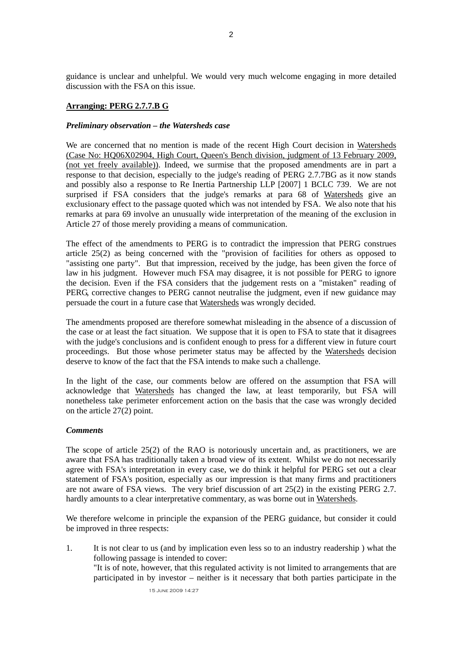guidance is unclear and unhelpful. We would very much welcome engaging in more detailed discussion with the FSA on this issue.

## **Arranging: PERG 2.7.7.B G**

#### *Preliminary observation – the Watersheds case*

We are concerned that no mention is made of the recent High Court decision in Watersheds (Case No: HQ06X02904, High Court, Queen's Bench division, judgment of 13 February 2009, (not yet freely available)). Indeed, we surmise that the proposed amendments are in part a response to that decision, especially to the judge's reading of PERG 2.7.7BG as it now stands and possibly also a response to Re Inertia Partnership LLP [2007] 1 BCLC 739. We are not surprised if FSA considers that the judge's remarks at para 68 of Watersheds give an exclusionary effect to the passage quoted which was not intended by FSA. We also note that his remarks at para 69 involve an unusually wide interpretation of the meaning of the exclusion in Article 27 of those merely providing a means of communication.

The effect of the amendments to PERG is to contradict the impression that PERG construes article 25(2) as being concerned with the "provision of facilities for others as opposed to "assisting one party". But that impression, received by the judge, has been given the force of law in his judgment. However much FSA may disagree, it is not possible for PERG to ignore the decision. Even if the FSA considers that the judgement rests on a "mistaken" reading of PERG, corrective changes to PERG cannot neutralise the judgment, even if new guidance may persuade the court in a future case that Watersheds was wrongly decided.

The amendments proposed are therefore somewhat misleading in the absence of a discussion of the case or at least the fact situation. We suppose that it is open to FSA to state that it disagrees with the judge's conclusions and is confident enough to press for a different view in future court proceedings. But those whose perimeter status may be affected by the Watersheds decision deserve to know of the fact that the FSA intends to make such a challenge.

In the light of the case, our comments below are offered on the assumption that FSA will acknowledge that Watersheds has changed the law, at least temporarily, but FSA will nonetheless take perimeter enforcement action on the basis that the case was wrongly decided on the article 27(2) point.

## *Comments*

The scope of article 25(2) of the RAO is notoriously uncertain and, as practitioners, we are aware that FSA has traditionally taken a broad view of its extent. Whilst we do not necessarily agree with FSA's interpretation in every case, we do think it helpful for PERG set out a clear statement of FSA's position, especially as our impression is that many firms and practitioners are not aware of FSA views. The very brief discussion of art 25(2) in the existing PERG 2.7. hardly amounts to a clear interpretative commentary, as was borne out in Watersheds.

We therefore welcome in principle the expansion of the PERG guidance, but consider it could be improved in three respects:

1. It is not clear to us (and by implication even less so to an industry readership ) what the following passage is intended to cover: "It is of note, however, that this regulated activity is not limited to arrangements that are participated in by investor – neither is it necessary that both parties participate in the

15 June 2009 14:27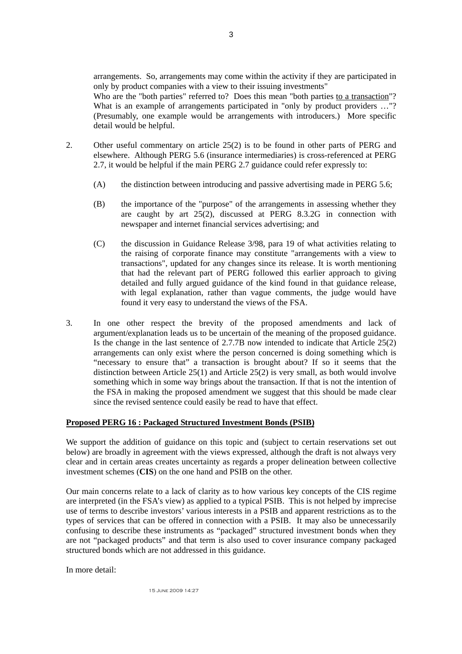arrangements. So, arrangements may come within the activity if they are participated in only by product companies with a view to their issuing investments"

Who are the "both parties" referred to? Does this mean "both parties to a transaction"? What is an example of arrangements participated in "only by product providers ..."? (Presumably, one example would be arrangements with introducers.) More specific detail would be helpful.

- 2. Other useful commentary on article 25(2) is to be found in other parts of PERG and elsewhere. Although PERG 5.6 (insurance intermediaries) is cross-referenced at PERG 2.7, it would be helpful if the main PERG 2.7 guidance could refer expressly to:
	- (A) the distinction between introducing and passive advertising made in PERG 5.6;
	- (B) the importance of the "purpose" of the arrangements in assessing whether they are caught by art 25(2), discussed at PERG 8.3.2G in connection with newspaper and internet financial services advertising; and
	- (C) the discussion in Guidance Release 3/98, para 19 of what activities relating to the raising of corporate finance may constitute "arrangements with a view to transactions", updated for any changes since its release. It is worth mentioning that had the relevant part of PERG followed this earlier approach to giving detailed and fully argued guidance of the kind found in that guidance release, with legal explanation, rather than vague comments, the judge would have found it very easy to understand the views of the FSA.
- 3. In one other respect the brevity of the proposed amendments and lack of argument/explanation leads us to be uncertain of the meaning of the proposed guidance. Is the change in the last sentence of 2.7.7B now intended to indicate that Article 25(2) arrangements can only exist where the person concerned is doing something which is "necessary to ensure that" a transaction is brought about? If so it seems that the distinction between Article 25(1) and Article 25(2) is very small, as both would involve something which in some way brings about the transaction. If that is not the intention of the FSA in making the proposed amendment we suggest that this should be made clear since the revised sentence could easily be read to have that effect.

## **Proposed PERG 16 : Packaged Structured Investment Bonds (PSIB)**

We support the addition of guidance on this topic and (subject to certain reservations set out below) are broadly in agreement with the views expressed, although the draft is not always very clear and in certain areas creates uncertainty as regards a proper delineation between collective investment schemes (**CIS**) on the one hand and PSIB on the other.

Our main concerns relate to a lack of clarity as to how various key concepts of the CIS regime are interpreted (in the FSA's view) as applied to a typical PSIB. This is not helped by imprecise use of terms to describe investors' various interests in a PSIB and apparent restrictions as to the types of services that can be offered in connection with a PSIB. It may also be unnecessarily confusing to describe these instruments as "packaged" structured investment bonds when they are not "packaged products" and that term is also used to cover insurance company packaged structured bonds which are not addressed in this guidance.

In more detail:

15 June 2009 14:27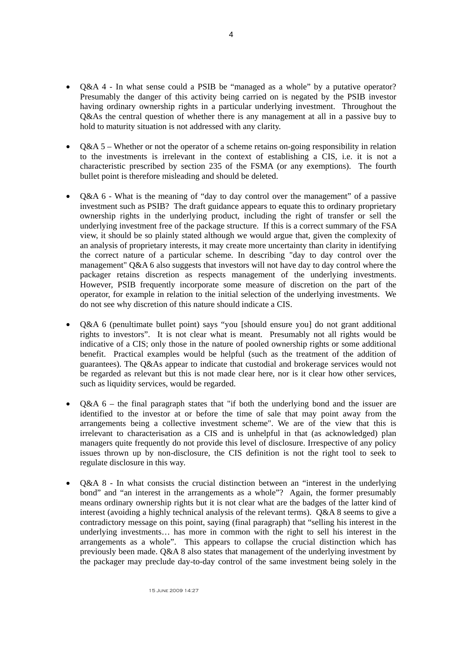- Q&A 4 In what sense could a PSIB be "managed as a whole" by a putative operator? Presumably the danger of this activity being carried on is negated by the PSIB investor having ordinary ownership rights in a particular underlying investment. Throughout the Q&As the central question of whether there is any management at all in a passive buy to hold to maturity situation is not addressed with any clarity.
- $Q&A 5$  Whether or not the operator of a scheme retains on-going responsibility in relation to the investments is irrelevant in the context of establishing a CIS, i.e. it is not a characteristic prescribed by section 235 of the FSMA (or any exemptions). The fourth bullet point is therefore misleading and should be deleted.
- O&A 6 What is the meaning of "day to day control over the management" of a passive investment such as PSIB? The draft guidance appears to equate this to ordinary proprietary ownership rights in the underlying product, including the right of transfer or sell the underlying investment free of the package structure. If this is a correct summary of the FSA view, it should be so plainly stated although we would argue that, given the complexity of an analysis of proprietary interests, it may create more uncertainty than clarity in identifying the correct nature of a particular scheme. In describing "day to day control over the management" Q&A 6 also suggests that investors will not have day to day control where the packager retains discretion as respects management of the underlying investments. However, PSIB frequently incorporate some measure of discretion on the part of the operator, for example in relation to the initial selection of the underlying investments. We do not see why discretion of this nature should indicate a CIS.
- Q&A 6 (penultimate bullet point) says "you [should ensure you] do not grant additional rights to investors". It is not clear what is meant. Presumably not all rights would be indicative of a CIS; only those in the nature of pooled ownership rights or some additional benefit. Practical examples would be helpful (such as the treatment of the addition of guarantees). The Q&As appear to indicate that custodial and brokerage services would not be regarded as relevant but this is not made clear here, nor is it clear how other services, such as liquidity services, would be regarded.
- Q&A 6 the final paragraph states that "if both the underlying bond and the issuer are identified to the investor at or before the time of sale that may point away from the arrangements being a collective investment scheme". We are of the view that this is irrelevant to characterisation as a CIS and is unhelpful in that (as acknowledged) plan managers quite frequently do not provide this level of disclosure. Irrespective of any policy issues thrown up by non-disclosure, the CIS definition is not the right tool to seek to regulate disclosure in this way.
- Q&A 8 In what consists the crucial distinction between an "interest in the underlying bond" and "an interest in the arrangements as a whole"? Again, the former presumably means ordinary ownership rights but it is not clear what are the badges of the latter kind of interest (avoiding a highly technical analysis of the relevant terms). Q&A 8 seems to give a contradictory message on this point, saying (final paragraph) that "selling his interest in the underlying investments… has more in common with the right to sell his interest in the arrangements as a whole". This appears to collapse the crucial distinction which has previously been made. Q&A 8 also states that management of the underlying investment by the packager may preclude day-to-day control of the same investment being solely in the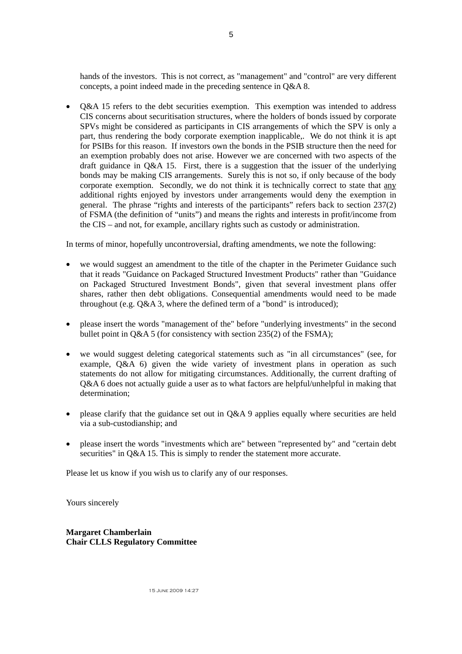hands of the investors. This is not correct, as "management" and "control" are very different concepts, a point indeed made in the preceding sentence in Q&A 8.

• O&A 15 refers to the debt securities exemption. This exemption was intended to address CIS concerns about securitisation structures, where the holders of bonds issued by corporate SPVs might be considered as participants in CIS arrangements of which the SPV is only a part, thus rendering the body corporate exemption inapplicable,. We do not think it is apt for PSIBs for this reason. If investors own the bonds in the PSIB structure then the need for an exemption probably does not arise. However we are concerned with two aspects of the draft guidance in Q&A 15. First, there is a suggestion that the issuer of the underlying bonds may be making CIS arrangements. Surely this is not so, if only because of the body corporate exemption. Secondly, we do not think it is technically correct to state that any additional rights enjoyed by investors under arrangements would deny the exemption in general. The phrase "rights and interests of the participants" refers back to section 237(2) of FSMA (the definition of "units") and means the rights and interests in profit/income from the CIS – and not, for example, ancillary rights such as custody or administration.

In terms of minor, hopefully uncontroversial, drafting amendments, we note the following:

- we would suggest an amendment to the title of the chapter in the Perimeter Guidance such that it reads "Guidance on Packaged Structured Investment Products" rather than "Guidance on Packaged Structured Investment Bonds", given that several investment plans offer shares, rather then debt obligations. Consequential amendments would need to be made throughout (e.g. Q&A 3, where the defined term of a "bond" is introduced);
- please insert the words "management of the" before "underlying investments" in the second bullet point in Q&A 5 (for consistency with section 235(2) of the FSMA);
- we would suggest deleting categorical statements such as "in all circumstances" (see, for example, Q&A 6) given the wide variety of investment plans in operation as such statements do not allow for mitigating circumstances. Additionally, the current drafting of Q&A 6 does not actually guide a user as to what factors are helpful/unhelpful in making that determination;
- please clarify that the guidance set out in  $O&A$  9 applies equally where securities are held via a sub-custodianship; and
- please insert the words "investments which are" between "represented by" and "certain debt securities" in Q&A 15. This is simply to render the statement more accurate.

Please let us know if you wish us to clarify any of our responses.

Yours sincerely

**Margaret Chamberlain Chair CLLS Regulatory Committee** 

15 June 2009 14:27